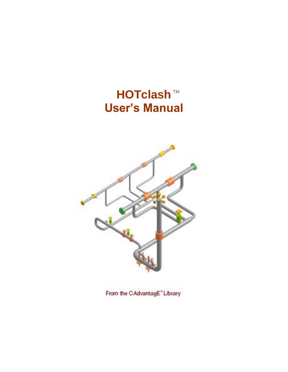# **HOTclash**™ **User's Manual**



From the CAdvantagE"Library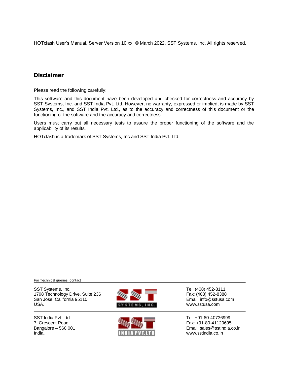HOTclash User's Manual, Server Version 10.xx, © March 2022, SST Systems, Inc. All rights reserved.

## **Disclaimer**

Please read the following carefully:

This software and this document have been developed and checked for correctness and accuracy by SST Systems, Inc. and SST India Pvt. Ltd. However, no warranty, expressed or implied, is made by SST Systems, Inc., and SST India Pvt. Ltd., as to the accuracy and correctness of this document or the functioning of the software and the accuracy and correctness.

Users must carry out all necessary tests to assure the proper functioning of the software and the applicability of its results.

HOTclash is a trademark of SST Systems, Inc and SST India Pvt. Ltd.

For Technical queries, contact

SST Systems, Inc. **Contract Systems, Inc.** SST Systems, Inc. **Tel: (408) 452-8111**<br>1798 Technology Drive, Suite 236 **Contract Systems** Fax: (408) 452-8388 1798 Technology Drive, Suite 236 Fax: (408) 452-8388<br>San Jose, California 95110 Fax: (408) 452-8388 San Jose, California 95110 USA. WWW.SSTERES, INC. WWW.SSTUSA.COM





SST India Pvt. Ltd. Tel: +91-80-40736999 7, Crescent Road Fax: +91-80-41120695<br>Bangalore – 560 001 Fax: +91-80-41120695 Bangalore – 560 001 **Email: sales@sstindia.co.in**<br>
INDIA PVT.LTD MOVIA WWW.sstindia.co.in www.sstindia.co.in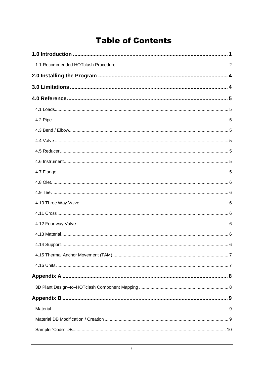## **Table of Contents**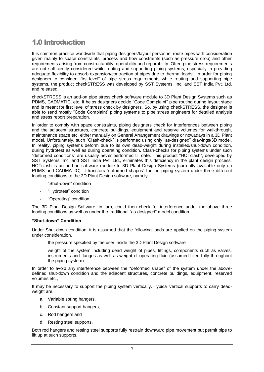## <span id="page-4-0"></span>1.0 Introduction

It is common practice worldwide that piping designers/layout personnel route pipes with consideration given mainly to space constraints, process and flow constraints (such as pressure drop) and other requirements arising from constructability, operability and reparability. Often pipe stress requirements are not sufficiently considered while routing and supporting piping systems, especially in providing adequate flexibility to absorb expansion/contraction of pipes due to thermal loads. In order for piping designers to consider "first-level" of pipe stress requirements while routing and supporting pipe systems, the product checkSTRESS was developed by SST Systems, Inc. and SST India Pvt. Ltd. and released.

checkSTRESS is an add-on pipe stress check software module to 3D Plant Design Systems such as PDMS, CADMATIC, etc. It helps designers decide "Code Complaint" pipe routing during layout stage and is meant for first level of stress check by designers. So, by using checkSTRESS, the designer is able to send mostly "Code Complaint" piping systems to pipe stress engineers for detailed analysis and stress report preparation.

In order to comply with space constraints, piping designers check for interferences between piping and the adjacent structures, concrete buildings, equipment and reserve volumes for walkthrough, maintenance space etc. either manually on General Arrangement drawings or nowadays in a 3D Plant model. Unfortunately, such "Clash-check" is performed using only "as-designed" drawings/3D model. In reality, piping systems deform due to its own dead-weight during installed/shut-down condition, during hydrotest as well as during operating condition. Clash-checks for piping systems under such "deformed conditions" are usually never performed till date. This product "HOTclash", developed by SST Systems, Inc. and SST India Pvt. Ltd., eliminates this deficiency in the plant design process. HOTclash is an add-on software module to 3D Plant Design Systems (currently available only on PDMS and CADMATIC). It transfers "deformed shapes" for the piping system under three different loading conditions to the 3D Plant Design software, namely

- "Shut-down" condition
- "Hydrotest" condition
- "Operating" condition

The 3D Plant Design Software, in turn, could then check for interference under the above three loading conditions as well as under the traditional "as-designed" model condition.

#### **"Shut-down" Condition**

Under Shut-down condition, it is assumed that the following loads are applied on the piping system under consideration.

- the pressure specified by the user inside the 3D Plant Design software
- weight of the system including dead weight of pipes, fittings, components such as valves, instruments and flanges as well as weight of operating fluid (assumed filled fully throughout the piping system).

In order to avoid any interference between the "deformed shape" of the system under the abovedefined shut-down condition and the adjacent structures, concrete buildings, equipment, reserved volumes etc.,

It may be necessary to support the piping system vertically. Typical vertical supports to carry deadweight are:

- a. Variable spring hangers.
- b. Constant support hangers,
- c. Rod hangers and
- d. Resting steel supports.

Both rod hangers and resting steel supports fully restrain downward pipe movement but permit pipe to lift up at such supports.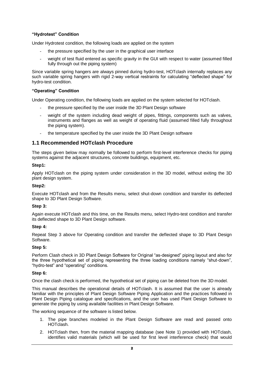#### **"Hydrotest" Condition**

Under Hydrotest condition, the following loads are applied on the system

- the pressure specified by the user in the graphical user interface
- weight of test fluid entered as specific gravity in the GUI with respect to water (assumed filled fully through out the piping system)

Since variable spring hangers are always pinned during hydro-test, HOTclash internally replaces any such variable spring hangers with rigid 2-way vertical restraints for calculating "deflected shape" for hydro-test condition.

#### **"Operating" Condition**

Under Operating condition, the following loads are applied on the system selected for HOTclash.

- the pressure specified by the user inside the 3D Plant Design software
- weight of the system including dead weight of pipes, fittings, components such as valves, instruments and flanges as well as weight of operating fluid (assumed filled fully throughout the piping system).
- the temperature specified by the user inside the 3D Plant Design software

### <span id="page-5-0"></span>**1.1 Recommended HOTclash Procedure**

The steps given below may normally be followed to perform first-level interference checks for piping systems against the adjacent structures, concrete buildings, equipment, etc.

#### **Step1:**

Apply HOTclash on the piping system under consideration in the 3D model, without exiting the 3D plant design system.

#### **Step2:**

Execute HOTclash and from the Results menu, select shut-down condition and transfer its deflected shape to 3D Plant Design Software.

#### **Step 3:**

Again execute HOTclash and this time, on the Results menu, select Hydro-test condition and transfer its deflected shape to 3D Plant Design software.

#### **Step 4:**

Repeat Step 3 above for Operating condition and transfer the deflected shape to 3D Plant Design Software.

#### **Step 5:**

Perform Clash check in 3D Plant Design Software for Original "as-designed" piping layout and also for the three hypothetical set of piping representing the three loading conditions namely "shut-down", "hydro-test" and "operating" conditions.

#### **Step 6:**

Once the clash check is performed, the hypothetical set of piping can be deleted from the 3D model.

This manual describes the operational details of HOTclash. It is assumed that the user is already familiar with the principles of Plant Design Software Piping Application and the practices followed in Plant Design Piping catalogue and specifications, and the user has used Plant Design Software to generate the piping by using available facilities in Plant Design Software.

The working sequence of the software is listed below.

- 1. The pipe branches modeled in the Plant Design Software are read and passed onto HOTclash.
- 2. HOTclash then, from the material mapping database (see Note 1) provided with HOTclash, identifies valid materials (which will be used for first level interference check) that would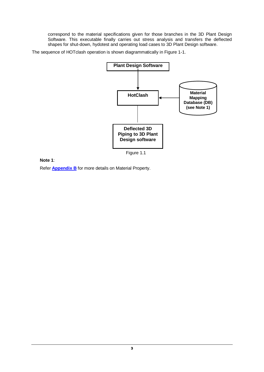correspond to the material specifications given for those branches in the 3D Plant Design Software. This executable finally carries out stress analysis and transfers the deflected shapes for shut-down, hydotest and operating load cases to 3D Plant Design software.

The sequence of HOTclash operation is shown diagrammatically in Figure 1-1.



**Note 1**:

Refer **[Appendix B](#page-12-0)** for more details on Material Property.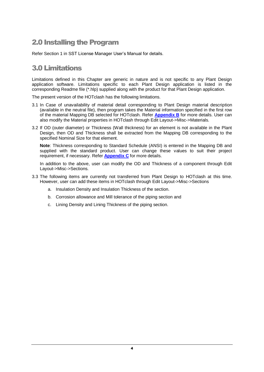## <span id="page-7-0"></span>2.0 Installing the Program

Refer Section 1 in SST License Manager User's Manual for details.

## <span id="page-7-1"></span>3.0 Limitations

Limitations defined in this Chapter are generic in nature and is not specific to any Plant Design application software. Limitations specific to each Plant Design application is listed in the corresponding Readme file (\*.hlp) supplied along with the product for that Plant Design application.

The present version of the HOTclash has the following limitations.

- 3.1 In Case of unavailability of material detail corresponding to Plant Design material description (available in the neutral file), then program takes the Material information specified in the first row of the material Mapping DB selected for HOTclash. Refer **[Appendix B](#page-12-0)** for more details. User can also modify the Material properties in HOTclash through Edit Layout->Misc->Materials.
- 3.2 If OD (outer diameter) or Thickness (Wall thickness) for an element is not available in the Plant Design, then OD and Thickness shall be extracted from the Mapping DB corresponding to the specified Nominal Size for that element.

**Note**: Thickness corresponding to Standard Schedule (ANSI) is entered in the Mapping DB and supplied with the standard product. User can change these values to suit their project requirement, if necessary. Refer **Appendix C** for more details.

In addition to the above, user can modify the OD and Thickness of a component through Edit Layout->Misc->Sections.

- 3.3 The following items are currently not transferred from Plant Design to HOTclash at this time. However, user can add these items in HOTclash through Edit Layout->Misc->Sections
	- a. Insulation Density and Insulation Thickness of the section.
	- b. Corrosion allowance and Mill tolerance of the piping section and
	- c. Lining Density and Lining Thickness of the piping section.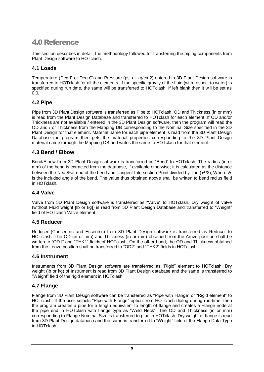## <span id="page-8-0"></span>4.0 Reference

This section describes in detail, the methodology followed for transferring the piping components from Plant Design software to HOTclash.

## <span id="page-8-1"></span>**4.1 Loads**

Temperature (Deg F or Deg C) and Pressure (psi or kg/cm2) entered in 3D Plant Design software is transferred to HOTclash for all the elements. If the specific gravity of the fluid (with respect to water) is specified during run time, the same will be transferred to HOTclash. If left blank then it will be set as 0.0.

## <span id="page-8-2"></span>**4.2 Pipe**

Pipe from 3D Plant Design software is transferred as Pipe to HOTclash. OD and Thickness (in or mm) is read from the Plant Design Database and transferred to HOTclash for each element. If OD and/or Thickness are not available / entered in the 3D Plant Design software, then the program will read the OD and / or Thickness from the Mapping DB corresponding to the Nominal Size specified in the 3D Plant Design for that element. Material name for each pipe element is read from the 3D Plant Design Database the program then gets the material properties corresponding to the 3D Plant Design material name through the Mapping DB and writes the same to HOTclash for that element.

## <span id="page-8-3"></span>**4.3 Bend / Elbow**

Bend/Elbow from 3D Plant Design software is transferred as "Bend" to HOTclash. The radius (in or mm) of the bend is extracted from the database, if available otherwise; it is calculated as the distance between the Near/Far end of the bend and Tangent Intersection Point divided by Tan (  $\theta$  /2), Where  $\theta$ is the included angle of the bend. The value thus obtained above shall be written to bend radius field in HOTclash.

## <span id="page-8-4"></span>**4.4 Valve**

Valve from 3D Plant Design software is transferred as "Valve" to HOTclash. Dry weight of valve (without Fluid weight [lb or kg]) is read from 3D Plant Design Database and transferred to "Weight" field of HOTclash Valve element.

## <span id="page-8-5"></span>**4.5 Reducer**

Reducer (Concentric and Eccentric) from 3D Plant Design software is transferred as Reducer to HOTclash. The OD (in or mm) and Thickness (in or mm) obtained from the Arrive position shall be written to "OD1" and "THK1" fields of HOTclash. On the other hand, the OD and Thickness obtained from the Leave position shall be transferred to "OD2" and "THK2" fields in HOTclash.

## <span id="page-8-6"></span>**4.6 Instrument**

Instruments from 3D Plant Design software are transferred as "Rigid" element to HOTclash. Dry weight (lb or kg) of Instrument is read from 3D Plant Design database and the same is transferred to "Weight" field of the rigid element in HOTclash.

## <span id="page-8-7"></span>**4.7 Flange**

Flange from 3D Plant Design software can be transferred as "Pipe with Flange" or "Rigid element" to HOTclash. If the user selects "Pipe with Flange" option from HOTclash dialog during run-time, then the program creates a pipe for a length equivalent to length of flange and creates a Flange node at the pipe end in HOTclash with flange type as "Weld Neck". The OD and Thickness (in or mm) corresponding to Flange Nominal Size is transferred to pipe in HOTclash. Dry weight of flange is read from 3D Plant Design database and the same is transferred to "Weight" field of the Flange Data Type in HOTclash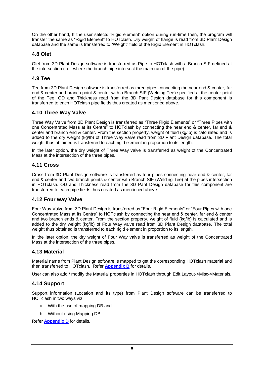On the other hand, If the user selects "Rigid element" option during run-time then, the program will transfer the same as "Rigid Element" to HOTclash. Dry weight of flange is read from 3D Plant Design database and the same is transferred to "Weight" field of the Rigid Element in HOTclash.

## <span id="page-9-0"></span>**4.8 Olet**

Olet from 3D Plant Design software is transferred as Pipe to HOTclash with a Branch SIF defined at the intersection (i.e., where the branch pipe intersect the main run of the pipe).

## <span id="page-9-1"></span>**4.9 Tee**

Tee from 3D Plant Design software is transferred as three pipes connecting the near end & center, far end & center and branch point & center with a Branch SIF (Welding Tee) specified at the center point of the Tee. OD and Thickness read from the 3D Pant Design database for this component is transferred to each HOTclash pipe fields thus created as mentioned above.

## <span id="page-9-2"></span>**4.10 Three Way Valve**

Three Way Valve from 3D Plant Design is transferred as "Three Rigid Elements" or "Three Pipes with one Concentrated Mass at its Centre" to HOTclash by connecting the near end & center, far end & center and branch end & center. From the section property, weight of fluid (kg/lb) is calculated and is added to the dry weight (kg/lb) of Three Way valve read from 3D Plant Design database. The total weight thus obtained is transferred to each rigid element in proportion to its length.

In the later option, the dry weight of Three Way valve is transferred as weight of the Concentrated Mass at the intersection of the three pipes.

## <span id="page-9-3"></span>**4.11 Cross**

Cross from 3D Plant Design software is transferred as four pipes connecting near end & center, far end & center and two branch points & center with Branch SIF (Welding Tee) at the pipes intersection in HOTclash. OD and Thickness read from the 3D Pant Design database for this component are transferred to each pipe fields thus created as mentioned above.

## <span id="page-9-4"></span>**4.12 Four way Valve**

Four Way Valve from 3D Plant Design is transferred as "Four Rigid Elements" or "Four Pipes with one Concentrated Mass at its Centre" to HOTclash by connecting the near end & center, far end & center and two branch ends & center. From the section property, weight of fluid (kg/lb) is calculated and is added to the dry weight (kg/lb) of Four Way valve read from 3D Plant Design database. The total weight thus obtained is transferred to each rigid element in proportion to its length.

In the later option, the dry weight of Four Way valve is transferred as weight of the Concentrated Mass at the intersection of the three pipes.

## <span id="page-9-5"></span>**4.13 Material**

Material name from Plant Design software is mapped to get the corresponding HOTclash material and then transferred to HOTclash. Refer **[Appendix B](#page-12-0)** for details.

User can also add / modify the Material properties in HOTclash through Edit Layout->Misc->Materials.

## <span id="page-9-6"></span>**4.14 Support**

Support information (Location and its type) from Plant Design software can be transferred to HOTclash in two ways viz.

- a. With the use of mapping DB and
- b. Without using Mapping DB

Refer **[Appendix D](#page-17-1)** for details.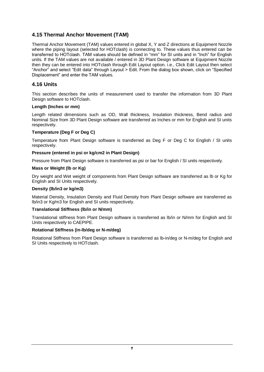## <span id="page-10-0"></span>**4.15 Thermal Anchor Movement (TAM)**

Thermal Anchor Movement (TAM) values entered in global X, Y and Z directions at Equipment Nozzle where the piping layout (selected for HOTclash) is connecting to. These values thus entered can be transferred to HOTclash. TAM values should be defined in "mm" for SI units and in "Inch" for English units. If the TAM values are not available / entered in 3D Plant Design software at Equipment Nozzle then they can be entered into HOTclash through Edit Layout option. i.e., Click Edit Layout then select "Anchor" and select "Edit data" through Layout > Edit. From the dialog box shown, click on "Specified Displacement" and enter the TAM values.

## <span id="page-10-1"></span>**4.16 Units**

This section describes the units of measurement used to transfer the information from 3D Plant Design software to HOTclash.

#### **Length (Inches or mm)**

Length related dimensions such as OD, Wall thickness, Insulation thickness, Bend radius and Nominal Size from 3D Plant Design software are transferred as Inches or mm for English and SI units respectively.

#### **Temperature (Deg F or Deg C)**

Temperature from Plant Design software is transferred as Deg F or Deg C for English / SI units respectively.

#### **Pressure (entered in psi or kg/cm2 in Plant Design)**

Pressure from Plant Design software is transferred as psi or bar for English / SI units respectively.

#### **Mass or Weight (lb or Kg)**

Dry weight and Wet weight of components from Plant Design software are transferred as lb or Kg for English and SI Units respectively.

#### **Density (lb/in3 or kg/m3)**

Material Density, Insulation Density and Fluid Density from Plant Design software are transferred as lb/in3 or Kg/m3 for English and SI units respectively.

#### **Translational Stiffness (lb/in or N/mm)**

Translational stiffness from Plant Design software is transferred as lb/in or N/mm for English and SI Units respectively to CAEPIPE.

#### **Rotational Stiffness (in-lb/deg or N-m/deg)**

Rotational Stiffness from Plant Design software is transferred as lb-in/deg or N-m/deg for English and SI Units respectively to HOTclash.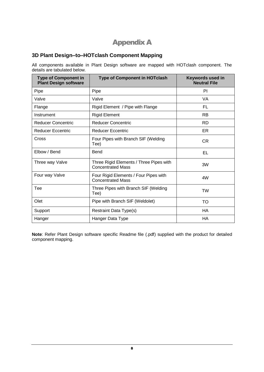## Appendix A

## <span id="page-11-1"></span><span id="page-11-0"></span>**3D Plant Design–to–HOTclash Component Mapping**

All components available in Plant Design software are mapped with HOTclash component. The details are tabulated below.

| <b>Type of Component in</b><br><b>Plant Design software</b> | <b>Type of Component in HOTclash</b>                                | Keywords used in<br><b>Neutral File</b> |
|-------------------------------------------------------------|---------------------------------------------------------------------|-----------------------------------------|
| Pipe                                                        | Pipe                                                                | PI                                      |
| Valve                                                       | Valve                                                               | VA.                                     |
| Flange                                                      | Rigid Element / Pipe with Flange                                    | FL                                      |
| Instrument                                                  | <b>Rigid Element</b>                                                | <b>RB</b>                               |
| <b>Reducer Concentric</b>                                   | <b>Reducer Concentric</b>                                           | <b>RD</b>                               |
| <b>Reducer Eccentric</b>                                    | <b>Reducer Eccentric</b>                                            | <b>ER</b>                               |
| Cross                                                       | Four Pipes with Branch SIF (Welding<br>Tee)                         | <b>CR</b>                               |
| Elbow / Bend                                                | Bend                                                                | EL                                      |
| Three way Valve                                             | Three Rigid Elements / Three Pipes with<br><b>Concentrated Mass</b> | 3W                                      |
| Four way Valve                                              | Four Rigid Elements / Four Pipes with<br><b>Concentrated Mass</b>   | 4W                                      |
| Tee                                                         | Three Pipes with Branch SIF (Welding<br>Tee)                        | <b>TW</b>                               |
| Olet                                                        | Pipe with Branch SIF (Weldolet)                                     | TO                                      |
| Support                                                     | Restraint Data Type(s)                                              | HA                                      |
| Hanger                                                      | Hanger Data Type                                                    | HA                                      |

**Note**: Refer Plant Design software specific Readme file (.pdf) supplied with the product for detailed component mapping.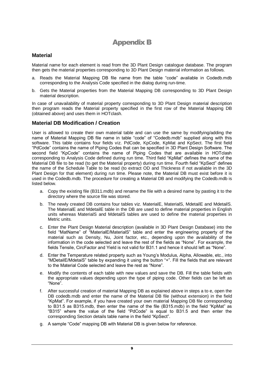## Appendix B

### <span id="page-12-1"></span><span id="page-12-0"></span>**Material**

Material name for each element is read from the 3D Plant Design catalogue database. The program then gets the material properties corresponding to 3D Plant Design material information as follows.

- a. Reads the Material Mapping DB file name from the table "code" available in Codedb.mdb corresponding to the Analysis Code specified in the dialog during run-time.
- b. Gets the Material properties from the Material Mapping DB corresponding to 3D Plant Design material description.

In case of unavailability of material property corresponding to 3D Plant Design material description then program reads the Material property specified in the first row of the Material Mapping DB (obtained above) and uses them in HOTclash.

### <span id="page-12-2"></span>**Material DB Modification / Creation**

User is allowed to create their own material table and can use the same by modifying/adding the name of Material Mapping DB file name in table "code" of "Codedb.mdb" supplied along with this software. This table contains four fields viz. PdCode, KpCode, KpMat and KpSect. The first field "PdCode" contains the name of Piping Codes that can be specified in 3D Plant Design Software. The second field "KpCode" contains the name of Piping Codes that are available in HOTclash corresponding to Analysis Code defined during run time. Third field "KpMat" defines the name of the Material DB file to be read (to get the Material property) during run time. Fourth field "KpSect" defines the name of the Schedule Table to be read (to extract OD and Thickness if not available in the 3D Plant Design for that element) during run time. Please note, the Material DB must exist before it is used in the Codedb.mdb. The procedure for creating a Material DB and modifying the Codedb.mdb is listed below.

- a. Copy the existing file (B311.mdb) and rename the file with a desired name by pasting it to the directory where the source file was stored.
- b. The newly created DB contains four tables viz. MaterialE, MaterialS, MdetailE and MdetailS. The MaterialE and MdetailE table in the DB are used to define material properties in English units whereas MaterialS and MdetailS tables are used to define the material properties in Metric units.
- c. Enter the Plant Design Material description (available in 3D Plant Design Database) into the field "MatName" of "MaterialE/MaterialS" table and enter the engineering property of the material such as Density, Nu, Joint factor, etc., depending upon the availability of the information in the code selected and leave the rest of the fields as "None". For example, the fields Tensile, CircFactor and Yield is not valid for B31.1 and hence it should left as "None".
- d. Enter the Temperature related property such as Young's Modulus, Alpha, Allowable, etc., into "MDetailE/MdetaiS" table by expanding it using the button "+". Fill the fields that are relevant to the Material Code selected and leave the rest as "None".
- e. Modify the contents of each table with new values and save the DB. Fill the table fields with the appropriate values depending upon the type of piping code. Other fields can be left as "None".
- f. After successful creation of material Mapping DB as explained above in steps a to e, open the DB codedb.mdb and enter the name of the Material DB file (without extension) in the field "KpMat". For example, if you have created your own material Mapping DB file corresponding to B31.5 as B315.mdb, then enter the name of the file (B315.mdb) in the field "KpMat" as "B315" where the value of the field "PdCode" is equal to B31.5 and then enter the corresponding Section details table name in the field "KpSect".
- g. A sample "Code" mapping DB with Material DB is given below for reference.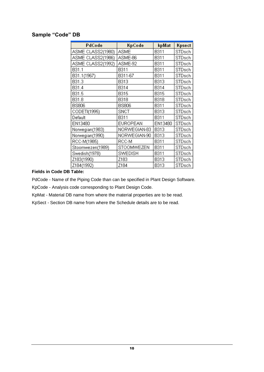## <span id="page-13-0"></span>**Sample "Code" DB**

| PdCode            | KpCode          | kpMat       | Kpsect |
|-------------------|-----------------|-------------|--------|
| ASME CLASS2(1980) | ASME            | <b>B311</b> | STDsch |
| ASME CLASS2(1986) | ASME-86         | B311        | STDsch |
| ASME CLASS2(1992) | ASME-92         | B311        | STDsch |
| B31.1             | B311            | B311        | STDsch |
| B31.1(1967)       | B311-67         | B311        | STDsch |
| B31.3             | <b>B313</b>     | <b>B313</b> | STDsch |
| B31.4             | <b>B314</b>     | <b>B314</b> | STDsch |
| B31.5             | <b>B315</b>     | <b>B315</b> | STDsch |
| B31.8             | <b>B318</b>     | <b>B318</b> | STDsch |
| <b>BS806</b>      | <b>BS806</b>    | <b>B311</b> | STDsch |
| CODETI(1995)      | SNCT            | <b>B313</b> | STDsch |
| Default           | <b>B311</b>     | B311        | STDsch |
| EN13480           | <b>EUROPEAN</b> | EN13480     | STDsch |
| Norwegian(1983)   | NORWEGIAN-83    | <b>B313</b> | STDsch |
| Norwegian(1990)   | NORWEGIAN-90    | <b>B313</b> | STDsch |
| RCC-M(1985)       | RCC-M           | B311        | STDsch |
| Stoomwezen(1989)  | STOOMWEZEN      | <b>B311</b> | STDsch |
| Swedish(1978)     | SWEDISH         | <b>B311</b> | STDsch |
| Z183(1990)        | Z183            | <b>B313</b> | STDsch |
| Z184(1992)        | Z184            | <b>B313</b> | STDsch |

### **Fields in Code DB Table:**

PdCode - Name of the Piping Code than can be specified in Plant Design Software.

KpCode - Analysis code corresponding to Plant Design Code.

KpMat - Material DB name from where the material properties are to be read.

KpSect - Section DB name from where the Schedule details are to be read.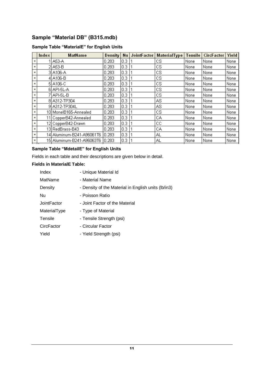## <span id="page-14-0"></span>**Sample "Material DB" (B315.mdb)**

## **Sample Table "MaterialE" for English Units**

|                | Index | <b>MatName</b>            | Density |     | Nu JointFactor | <b>MaterialType</b> | Tensile | CircFactor | Yield |
|----------------|-------|---------------------------|---------|-----|----------------|---------------------|---------|------------|-------|
| $+$            |       | A53-A                     | 0.283   | 0.3 |                | сs                  | None    | None       | None  |
| $\overline{+}$ |       | 2 A53-B                   | 0.283   | 0.3 |                | сs                  | None    | None       | None  |
| $\overline{+}$ |       | 3 A106-A                  | 0.283   | 0.3 |                | сs                  | None    | None       | None  |
| $+$            |       | 4 A106-B                  | 0.283   | 0.3 |                | cs                  | None    | None       | None  |
| $+$            |       | 5 A106-C                  | 0.283   | 0.3 |                | сs                  | None    | None       | None  |
| $\overline{+}$ |       | 6 API-5L-A                | 0.283   | 0.3 |                | сs                  | None    | None       | None  |
| $\ddot{}$      |       | 7 API-5 L-B               | 0.283   | 0.3 |                | сs                  | None    | None       | None  |
| $+$            |       | 8 A312-TP304              | 0.283   | 0.3 |                | AS                  | None    | None       | None  |
| $+$            |       | 9 A312-TP304L             | 0.283   | 0.3 |                | AS                  | None    | None       | None  |
| $\overline{+}$ |       | 10 MonelB165-Annealed     | 0.283   | 0.3 |                | сs                  | None    | None       | None  |
| $+$            |       | 11 CopperB42-Annealed     | 0.283   | 0.3 |                | CА                  | None    | None       | None  |
| $+$            |       | 12 CopperB42-Drawn        | 0.283   | 0.3 |                | cс                  | None    | None       | None  |
| $\overline{+}$ |       | 13 RedBrass-B43           | 0.283   | 0.3 |                | CА                  | None    | None       | None  |
| $+$            |       | 14 Aluminum-B241-A96061T6 | 0.283   | 0.3 |                | ΑL                  | None    | None       | None  |
| $+$            |       | 15 Aluminum-B241-A96063T6 | 0.283   | 0.3 |                | ΑL                  | None    | None       | None  |

## **Sample Table "MdetailE" for English Units**

Fields in each table and their descriptions are given below in detail.

#### **Fields in MaterialE Table:**

| Index        | - Unique Material Id                                |
|--------------|-----------------------------------------------------|
| MatName      | - Material Name                                     |
| Density      | - Density of the Material in English units (Ib/in3) |
| Nu           | - Poisson Ratio                                     |
| JointFactor  | - Joint Factor of the Material                      |
| MaterialType | - Type of Material                                  |
| Tensile      | - Tensile Strength (psi)                            |
| CircFactor   | - Circular Factor                                   |
| Yield        | - Yield Strength (psi)                              |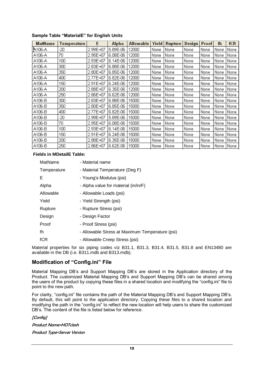| MatName | Temperature | E        | Alpha    | Allowable | Yield | <b>Rupture</b> | Design | Proof | fh   | fCR  |
|---------|-------------|----------|----------|-----------|-------|----------------|--------|-------|------|------|
| A106-A  | -20         | 2.99E+07 | 5.89E-06 | 12000     | None  | None           | None   | None  | None | None |
| A106-A  | 70          | 2.95E+07 | 6.08E-06 | 12000     | None  | None           | None   | None  | None | None |
| A106-A  | 100         | 2.93E+07 | 6.14E-06 | 12000     | None  | None           | None   | None  | None | None |
| A106-A  | 300         | 2.83E+07 | 6.88E-06 | 12000     | None  | None           | None   | None  | None | None |
| A106-A  | 350         | 2.80E+07 | 6.85E-06 | 12000     | None  | None           | None   | None  | None | None |
| A106-A  | 400         | 2.77E+07 | 6.82E-06 | 12000     | None  | None           | None   | None  | None | None |
| A106-A  | 150         | 2.91E+07 | 6.24E-06 | 12000     | None  | None           | None   | None  | None | None |
| A106-A  | 200         | 2.88E+07 | 6.35E-06 | 12000     | None  | None           | None   | None  | None | None |
| A106-A  | 250         | 2.86E+07 | 6.62E-06 | 12000     | None  | None           | None   | None  | None | None |
| A106-B  | 300         | 2.83E+07 | 6.88E-06 | 15000     | None  | None           | None   | None  | None | None |
| A106-B  | 350         | 2.80E+07 | 6.85E-06 | 15000     | None  | None           | None   | None  | None | None |
| A106-B  | 400         | 2.77E+07 | 6.82E-06 | 15000     | None  | None           | None   | None  | None | None |
| A106-B  | -20         | 2.99E+07 | 5.89E-06 | 15000     | None  | None           | None   | None  | None | None |
| A106-B  | 70          | 2.95E+07 | 6.08E-06 | 15000     | None  | None           | None   | None  | None | None |
| A106-B  | 100         | 2.93E+07 | 6.14E-06 | 15000     | None  | None           | None   | None  | None | None |
| A106-B  | 150         | 2.91E+07 | 6.24E-06 | 15000     | None  | None           | None   | None  | None | None |
| A106-B  | 200         | 2.88E+07 | 6.35E-06 | 15000     | None  | None           | None   | None  | None | None |
| A106-B  | 250         | 2.86E+07 | 6.62E-06 | 15000     | None  | None           | None   | None  | None | None |

#### **Sample Table "MaterialE" for English Units**

#### **Fields in MDetailE Table:**

| MatName     | - Material name                                 |
|-------------|-------------------------------------------------|
| Temperature | - Material Temperature (Deg F)                  |
| Е           | - Young's Modulus (psi)                         |
| Alpha       | - Alpha value for material (in/in/F)            |
| Allowable   | - Allowable Loads (psi)                         |
| Yield       | - Yield Strength (psi)                          |
| Rupture     | - Rupture Stress (psi)                          |
| Design      | - Design Factor                                 |
| Proof       | - Proof Stress (psi)                            |
| fh          | - Allowable Stress at Maximum Temperature (psi) |
| <b>fCR</b>  | - Allowable Creep Stress (psi)                  |

Material properties for six piping codes viz B31.1, B31.3, B31.4, B31.5, B31.8 and EN13480 are available in the DB (i.e. B311.mdb and B313.mdb).

#### <span id="page-15-0"></span>**Modification of "Config.ini" File**

Material Mapping DB's and Support Mapping DB's are stored in the Application directory of the Product. The customized Material Mapping DB's and Support Mapping DB's can be shared among the users of the product by copying these files in a shared location and modifying the "config.ini" file to point to the new path.

For clarity, "config.ini" file contains the path of the Material Mapping DB's and Support Mapping DB's. By default, this will point to the application directory. Copying these files to a shared location and modifying the path in the "config.ini" to reflect the new location will help users to share the customized DB's. The content of the file is listed below for reference.

#### [Config]

Product Name=HOTclash Product Type=Server Version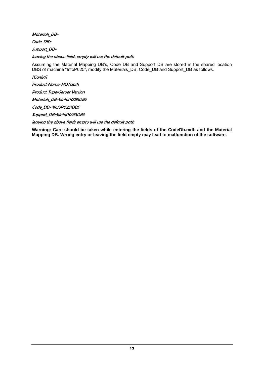Materials DB=

Code DB=

Support\_DB=

leaving the above fields empty will use the default path

Assuming the Material Mapping DB's, Code DB and Support DB are stored in the shared location DBS of machine "InfoP025", modify the Materials\_DB, Code\_DB and Support\_DB as follows.

[Config]

Product Name=HOTclash

Product Type=Server Version

Materials\_DB=\\InfoP025\DBS

Code\_DB=\\InfoP025\DBS

Support\_DB=\\InfoP025\DBS

leaving the above fields empty will use the default path

**Warning: Care should be taken while entering the fields of the CodeDb.mdb and the Material Mapping DB. Wrong entry or leaving the field empty may lead to malfunction of the software.**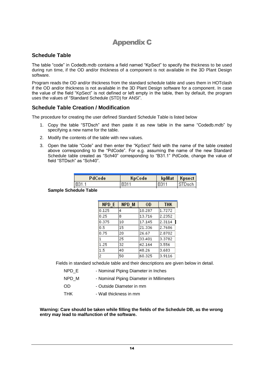## Appendix C

## <span id="page-17-1"></span><span id="page-17-0"></span>**Schedule Table**

The table "code" in Codedb.mdb contains a field named "KpSect" to specify the thickness to be used during run time, if the OD and/or thickness of a component is not available in the 3D Plant Design software.

Program reads the OD and/or thickness from the standard schedule table and uses them in HOTclash if the OD and/or thickness is not available in the 3D Plant Design software for a component. In case the value of the field "KpSect" is not defined or left empty in the table, then by default, the program uses the values of "Standard Schedule (STD) for ANSI".

## <span id="page-17-2"></span>**Schedule Table Creation / Modification**

The procedure for creating the user defined Standard Schedule Table is listed below

- 1. Copy the table "STDsch" and then paste it as new table in the same "Codedb.mdb" by specifying a new name for the table.
- 2. Modify the contents of the table with new values.
- 3. Open the table "Code" and then enter the "KpSect" field with the name of the table created above corresponding to the "PdCode". For e.g. assuming the name of the new Standard Schedule table created as "Sch40" corresponding to "B31.1" PdCode, change the value of field "STDsch" as "Sch40".

| PdCode       | KpCode |      | kpMat   Kpsect |
|--------------|--------|------|----------------|
| I B31.1      | B311   | B311 | ⊺STDsch        |
| salıla Tabla |        |      |                |

#### **Sample Schedule Table**

| NPD E          | NPD M | 0D     | <b>THK</b> |
|----------------|-------|--------|------------|
| 0.125          | 4     | 10.287 | 1.7272     |
| 0.25           | 8     | 13.716 | 2.2352     |
| 0.375          | 10    | 17.145 | 2.3114     |
| 0.5            | 15    | 21,336 | 2.7686     |
| 0.75           | 20    | 26.67  | 2.8702     |
| $\mathbf{1}$   | 25    | 33.401 | 3.3782     |
| 1.25           | 32    | 42.164 | 3.556      |
| 1.5            | 40    | 48.26  | 3.683      |
| $\overline{c}$ | 50    | 60.325 | 3.9116     |

Fields in standard schedule table and their descriptions are given below in detail.

| NPD E | - Nominal Piping Diameter in Inches      |
|-------|------------------------------------------|
| NPD M | - Nominal Piping Diameter in Millimeters |
| OD.   | - Outside Diameter in mm                 |
| THK.  | - Wall thickness in mm                   |

**Warning: Care should be taken while filling the fields of the Schedule DB, as the wrong entry may lead to malfunction of the software.**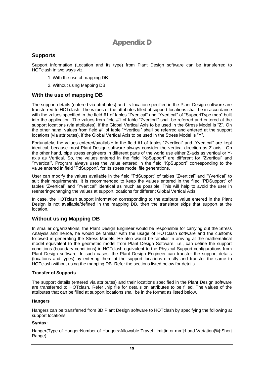## Appendix D

## <span id="page-18-1"></span><span id="page-18-0"></span>**Supports**

Support information (Location and its type) from Plant Design software can be transferred to HOTclash in two ways viz.

- 1. With the use of mapping DB
- 2. Without using Mapping DB

## <span id="page-18-2"></span>**With the use of mapping DB**

The support details (entered via attributes) and its location specified in the Plant Design software are transferred to HOTclash. The values of the attributes filled at support locations shall be in accordance with the values specified in the field #1 of tables "Zvertical" and "Yvertical" of "SupportType.mdb" built into the application. The values from field #1 of table "Zvertical" shall be referred and entered at the support locations (via attributes), if the Global Vertical Axis to be used in the Stress Model is "Z". On the other hand, values from field #1 of table "Yvertical" shall be referred and entered at the support locations (via attributes), if the Global Vertical Axis to be used in the Stress Model is "Y".

Fortunately, the values entered/available in the field #1 of tables "Zvertical" and "Yvertical" are kept identical, because most Plant Design software always consider the vertical direction as Z-axis. On the other hand, pipe stress engineers in different parts of the world use either Z-axis as vertical or Yaxis as Vertical. So, the values entered in the field "KpSupport" are different for "Zvertical" and "Yvertical". Program always uses the value entered in the field "KpSupport" corresponding to the value entered in field "PdSupport", for its stress model file generations.

User can modify the values available in the field "PdSupport" of tables "Zvertical" and "Yvertical" to suit their requirements. It is recommended to keep the values entered in the filed "PDSupport" of tables "Zvertical" and "Yvertical" identical as much as possible. This will help to avoid the user in reentering/changing the values at support locations for different Global Vertical Axis.

In case, the HOTclash support information corresponding to the attribute value entered in the Plant Design is not available/defined in the mapping DB, then the translator skips that support at the location.

## <span id="page-18-3"></span>**Without using Mapping DB**

In smaller organizations, the Plant Design Engineer would be responsible for carrying out the Stress Analysis and hence, he would be familiar with the usage of HOTclash software and the customs followed in generating the Stress Models. He also would be familiar in arriving at the mathematical model equivalent to the geometric model from Plant Design Software. i.e., can define the support conditions (boundary conditions) in HOTclash equivalent to the Physical Support configurations from Plant Design software. In such cases, the Plant Design Engineer can transfer the support details (locations and types) by entering them at the support locations directly and transfer the same to HOTclash without using the mapping DB. Refer the sections listed below for details.

#### **Transfer of Supports**

The support details (entered via attributes) and their locations specified in the Plant Design software are transferred to HOTclash. Refer .hlp file for details on attributes to be filled. The values of the attributes that can be filled at support locations shall be in the format as listed below.

#### **Hangers**

Hangers can be transferred from 3D Plant Design software to HOTclash by specifying the following at support locations.

#### **Syntax**:

Hanger(Type of Hanger:Number of Hangers:Allowable Travel Limit[in or mm]:Load Variation[%]:Short Range)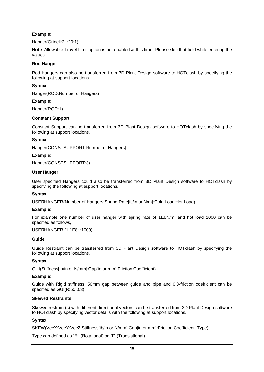### **Example**:

Hanger(Grinell:2: :20:1)

**Note**: Allowable Travel Limit option is not enabled at this time. Please skip that field while entering the values.

#### **Rod Hanger**

Rod Hangers can also be transferred from 3D Plant Design software to HOTclash by specifying the following at support locations.

#### **Syntax**:

Hanger(ROD:Number of Hangers)

#### **Example**:

Hanger(ROD:1)

#### **Constant Support**

Constant Support can be transferred from 3D Plant Design software to HOTclash by specifying the following at support locations.

#### **Syntax**:

Hanger(CONSTSUPPORT:Number of Hangers)

#### **Example**:

Hanger(CONSTSUPPORT:3)

#### **User Hanger**

User specified Hangers could also be transferred from 3D Plant Design software to HOTclash by specifying the following at support locations.

#### **Syntax**:

USERHANGER(Number of Hangers:Spring Rate[ib/in or N/m]:Cold Load:Hot Load)

#### **Example**:

For example one number of user hanger with spring rate of 1E8N/m, and hot load 1000 can be specified as follows,

#### USERHANGER (1:1E8: :1000)

#### **Guide**

Guide Restraint can be transferred from 3D Plant Design software to HOTclash by specifying the following at support locations.

#### **Syntax**:

GUI(Stiffness[ib/in or N/mm]:Gap[in or mm]:Friction Coefficient)

#### **Example**:

Guide with Rigid stiffness, 50mm gap between guide and pipe and 0.3-friction coefficient can be specified as GUI(R:50:0.3)

#### **Skewed Restraints**

Skewed restraint(s) with different directional vectors can be transferred from 3D Plant Design software to HOTclash by specifying vector details with the following at support locations.

#### **Syntax**:

SKEW(VecX:VecY:VecZ:Stiffness[ib/in or N/mm]:Gap[in or mm]:Friction Coefficient: Type)

Type can defined as "R" (Rotational) or "T" (Translational)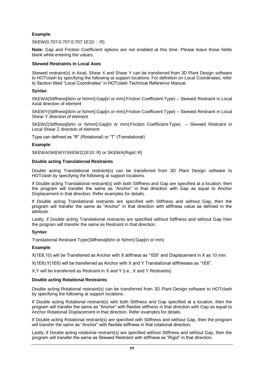#### **Example**:

#### SKEW(0.707:0.707:0.707:1E10: : :R)

**Note:** Gap and Friction Coefficient options are not enabled at this time. Please leave those fields blank while entering the values.

#### **Skewed Restraints in Local Axes**

Skewed restraint(s) in Axial, Shear X and Shear Y can be transferred from 3D Plant Design software to HOTclash by specifying the following at support locations. For definition on Local Coordinates, refer to Section titled "Local Coordinates" in HOTclash Technical Reference Manual.

#### **Syntax**:

SKEWA(Stiffness[ib/in or N/mm]:Gap[in or mm]:Friction Coefficient:Type) – Skewed Restraint in Local Axial direction of element

SKEWY(Stiffness[ib/in or N/mm]:Gap[in or mm]:Friction Coefficient:Type) – Skewed Restraint in Local Shear Y direction of element

SKEWZ(Stiffness[ib/in or N/mm]:Gap[in or mm]:Friction Coefficient:Type) – Skewed Restraint in Local Shear Z direction of element

Type can defined as "R" (Rotational) or "T" (Translational)

#### **Example**:

SKEWA/SKEWY/SKEWZ(1E10::R) or SKEWA(Rigid::R)

#### **Double acting Translational Restraints**

Double acting Translational restraint(s) can be transferred from 3D Plant Design software to HOTclash by specifying the following at support locations.

If Double acting Translational restraint(s) with both Stiffness and Gap are specified at a location, then the program will transfer the same as "Anchor" in that direction with Gap as equal to Anchor Displacement in that direction. Refer examples for details.

If Double acting Translational restraints are specified with Stiffness and without Gap, then the program will transfer the same as "Anchor" in that direction with stiffness value as defined in the attribute.

Lastly, if Double acting Translational restraints are specified without Stiffness and without Gap then the program will transfer the same as Restraint in that direction.

#### **Syntax**:

Translational Restraint Type(Stiffness[ib/in or N/mm]:Gap[in or mm)

#### **Example**:

X(1E6,10) will be Transferred as Anchor with X stiffness as "1E6" and Displacement in X as 10 mm.

X(1E6);Y(1E6) will be transferred as Anchor with X and Y Translational stiffnesses as "1E6".

X;Y will be transferred as Restraint in X and Y (i.e., X and Y Restraints)

#### **Double acting Rotational Restraints**

Double acting Rotational restraint(s) can be transferred from 3D Plant Design software to HOTclash by specifying the following at support locations.

If Double acting Rotational restraint(s) with both Stiffness and Gap specified at a location, then the program will transfer the same as "Anchor" with flexible stiffness in that direction with Gap as equal to Anchor Rotational Displacement in that direction. Refer examples for details.

If Double acting Rotational restraint(s) are specified with Stiffness and without Gap, then the program will transfer the same as "Anchor" with flexible stiffness in that rotational direction.

Lastly, if Double acting rotational restraint(s) are specified without Stiffness and without Gap, then the program will transfer the same as Skewed Restraint with stiffness as "Rigid" in that direction.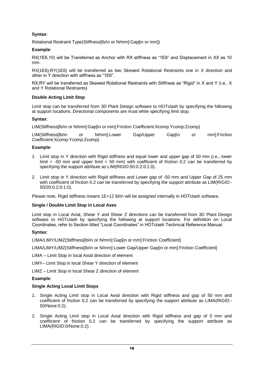## **Syntax**:

Rotational Restraint Type(Stiffness[lb/in or N/mm]: Gap[in or mm])

### **Example**:

RX(1E6,10) will be Transferred as Anchor with RX stiffness as "1E6" and Displacement in XX as 10 mm.

RX(1E6);RY(1E6) will be transferred as two Skewed Rotational Restraints one in X direction and other in Y direction with stiffness as "1E6".

RX;RY will be transferred as Skewed Rotational Restraints with Stiffness as "Rigid" in X and Y (i.e., X and Y Rotational Restraints)

### **Double Acting Limit Stop**

Limit stop can be transferred from 3D Plant Design software to HOTclash by specifying the following at support locations. Directional components are must while specifying limit stop.

### **Syntax**:

LIM(Stiffness[lb/in or N/mm]:Gap[in or mm]:Friction Coefficient:Xcomp:Ycomp:Zcomp)

LIM(Stiffness[lb/in or N/mm]:Lower Gap/Upper Gap[in or mm]:Friction Coefficient:Xcomp:Ycomp:Zcomp)

### **Example**:

- 1. Limit stop in Y direction with Rigid stiffness and equal lower and upper gap of 50 mm (i.e., lower  $\text{limit} = -50 \text{ mm}$  and upper  $\text{limit} = 50 \text{ mm}$ ) with coefficient of friction 0.2 can be transferred by specifying the support attribute as LIM(RIGID:50:0.2:0:1:0).
- 2. Limit stop in Y direction with Rigid stiffness and Lower gap of -50 mm and Upper Gap of 25 mm with coefficient of friction 0.2 can be transferred by specifying the support attribute as LIM(RIGID:- 50/20:0.2:0:1:0).

Please note, Rigid stiffness means 1E+12 lb/in will be assigned internally in HOTclash software.

#### **Single / Double Limit Stop in Local Axes**

Limit stop in Local Axial, Shear Y and Shear Z directions can be transferred from 3D Plant Design software to HOTclash by specifying the following at support locations. For definition on Local Coordinates, refer to Section titled "Local Coordinates" in HOTclash Technical Reference Manual.

#### **Syntax**:

LIMA/LIMY/LIMZ(Stiffness[lb/in or N/mm]:Gap[in or mm]:Friction Coefficient]

LIMA/LIMY/LIMZ(Stiffness[lb/in or N/mm]:Lower Gap/Upper Gap[in or mm]:Friction Coefficient]

LIMA – Limit Stop in local Axial direction of element

LIMY– Limit Stop in local Shear Y direction of element

LIMZ – Limit Stop in local Shear Z direction of element

#### **Example**:

#### **Single Acting Local Limit Stops**

- 1. Single Acting Limit stop in Local Axial direction with Rigid stiffness and gap of 50 mm and coefficient of friction 0.2 can be transferred by specifying the support attribute as LIMA(RIGID:- 50/None:0.2).
- 2. Single Acting Limit stop in Local Axial direction with Rigid stiffness and gap of 0 mm and coefficient of friction 0.2 can be transferred by specifying the support attribute as LIMA(RIGID:0/None:0.2).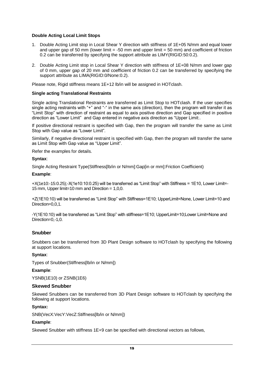#### **Double Acting Local Limit Stops**

- 1. Double Acting Limit stop in Local Shear Y direction with stiffness of 1E+05 N/mm and equal lower and upper gap of 50 mm (lower limit  $= -50$  mm and upper limit  $= 50$  mm) and coefficient of friction 0.2 can be transferred by specifying the support attribute as LIMY(RIGID:50:0.2).
- 2. Double Acting Limit stop in Local Shear Y direction with stiffness of 1E+08 N/mm and lower gap of 0 mm, upper gap of 20 mm and coefficient of friction 0.2 can be transferred by specifying the support attribute as LIMA(RIGID:0/None:0.2).

Please note, Rigid stiffness means 1E+12 lb/in will be assigned in HOTclash.

#### **Single acting Translational Restraints**

Single acting Translational Restraints are transferred as Limit Stop to HOTclash. If the user specifies single acting restraints with "+" and "-" in the same axis (direction), then the program will transfer it as "Limit Stop" with direction of restraint as equal to axis positive direction and Gap specified in positive direction as "Lower Limit" and Gap entered in negative axis direction as "Upper Limit:.

If positive directional restraint is specified with Gap, then the program will transfer the same as Limit Stop with Gap value as "Lower Limit".

Similarly, if negative directional restraint is specified with Gap, then the program will transfer the same as Limit Stop with Gap value as "Upper Limit".

Refer the examples for details.

#### **Syntax**:

Single Acting Restraint Type(Stiffness[lb/in or N/mm]:Gap[in or mm]:Friction Coefficient)

#### **Example**:

+X(1e10:-15:0.25);-X(1e10:10:0.25) will be transferred as "Limit Stop" with Stiffness = 1E10, Lower Limit=- 15 mm, Upper limit=10 mm and Direction = 1,0,0.

+Z(1E10:10) will be transferred as "Limit Stop" with Stiffness=1E10; UpperLimit=None, Lower Limit=10 and Direction=0,0,1.

-Y(1E10:10) will be transferred as "Limit Stop" with stiffness=1E10; UpperLimit=10;Lower Limit=None and Direction=0,-1,0.

#### **Snubber**

Snubbers can be transferred from 3D Plant Design software to HOTclash by specifying the following at support locations.

#### **Syntax**:

Types of Snubber(Stiffness[lb/in or N/mm])

#### **Example**:

YSNB(1E10) or ZSNB(1E6)

#### **Skewed Snubber**

Skewed Snubbers can be transferred from 3D Plant Design software to HOTclash by specifying the following at support locations.

#### **Syntax:**

SNB(VecX:VecY:VecZ:Stiffness[lb/in or N/mm])

#### **Example**:

Skewed Snubber with stiffness 1E+9 can be specified with directional vectors as follows,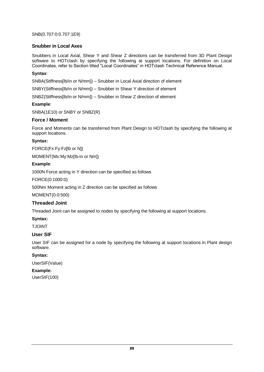SNB(0.707:0:0.707:1E9)

#### **Snubber in Local Axes**

Snubbers in Local Axial, Shear Y and Shear Z directions can be transferred from 3D Plant Design software to HOTclash by specifying the following at support locations. For definition on Local Coordinates, refer to Section titled "Local Coordinates" in HOTclash Technical Reference Manual.

#### **Syntax**:

SNBA(Stiffness[lb/in or N/mm]) – Snubber in Local Axial direction of element

SNBY(Stiffness[lb/in or N/mm]) – Snubber in Shear Y direction of element

SNBZ(Stiffness[lb/in or N/mm]) – Snubber in Shear Z direction of element

#### **Example**:

SNBA(1E10) or SNBY or SNBZ(R)

#### **Force / Moment**

Force and Moments can be transferred from Plant Design to HOTclash by specifying the following at support locations.

#### **Syntax:**

FORCE(Fx:Fy:Fz[lb or N])

MOMENT(Mx:My:Mz[lb-in or Nm])

#### **Example**:

1000N Force acting in Y direction can be specified as follows

FORCE(0:1000:0)

500Nm Moment acting in Z direction can be specified as follows

MOMENT(0:0:500)

#### **Threaded Joint**

Threaded Joint can be assigned to nodes by specifying the following at support locations.

#### **Syntax:**

TJOINT

#### **User SIF**

User SIF can be assigned for a node by specifying the following at support locations in Plant design software.

#### **Syntax:**

UserSIF(Value)

#### **Example:**

UserSIF(100)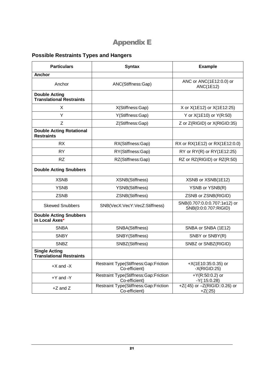## Appendix E

## <span id="page-24-1"></span><span id="page-24-0"></span>**Possible Restraints Types and Hangers**

| <b>Particulars</b>                                      | <b>Syntax</b>                                                 | <b>Example</b>                                       |  |  |
|---------------------------------------------------------|---------------------------------------------------------------|------------------------------------------------------|--|--|
| <b>Anchor</b>                                           |                                                               |                                                      |  |  |
| Anchor                                                  | ANC(Stiffness:Gap)                                            | ANC or ANC(1E12:0.0) or<br><b>ANC(1E12)</b>          |  |  |
| <b>Double Acting</b><br><b>Translational Restraints</b> |                                                               |                                                      |  |  |
| X                                                       | X(Stiffness:Gap)                                              | X or X(1E12) or X(1E12:25)                           |  |  |
| Y                                                       | Y(Stiffness:Gap)                                              | Y or X(1E10) or Y(R:50)                              |  |  |
| Z                                                       | Z(Stiffness:Gap)                                              | Z or Z(RIGID) or X(RIGID:35)                         |  |  |
| <b>Double Acting Rotational</b><br><b>Restraints</b>    |                                                               |                                                      |  |  |
| <b>RX</b>                                               | RX(Stiffness:Gap)                                             | RX or RX(1E12) or RX(1E12:0.0)                       |  |  |
| <b>RY</b>                                               | RY(Stiffness:Gap)                                             | RY or RY(R) or RY(1E12:25)                           |  |  |
| <b>RZ</b>                                               | RZ(Stiffness:Gap)                                             | RZ or RZ(RIGID) or RZ(R:50)                          |  |  |
| <b>Double Acting Snubbers</b>                           |                                                               |                                                      |  |  |
| <b>XSNB</b>                                             | XSNB(Stiffness)                                               | XSNB or XSNB(1E12)                                   |  |  |
| <b>YSNB</b>                                             | <b>YSNB(Stiffness)</b>                                        | YSNB or YSNB(R)                                      |  |  |
| <b>ZSNB</b>                                             | ZSNB(Stiffness)                                               | ZSNB or ZSNB(RIGID)                                  |  |  |
| <b>Skewed Snubbers</b>                                  | SNB(VecX:VecY:VecZ:Stiffness)                                 | SNB(0.707:0.0:0.707:1e12) or<br>SNB(0:0:0.707:RIGID) |  |  |
| <b>Double Acting Snubbers</b><br>in Local Axes*         |                                                               |                                                      |  |  |
| <b>SNBA</b>                                             | SNBA(Stiffness)                                               | SNBA or SNBA (1E12)                                  |  |  |
| <b>SNBY</b>                                             | SNBY(Stiffness)                                               | SNBY or SNBY(R)                                      |  |  |
| <b>SNBZ</b>                                             | SNBZ(Stiffness)                                               | SNBZ or SNBZ(RIGID)                                  |  |  |
| <b>Single Acting</b><br><b>Translational Restraints</b> |                                                               |                                                      |  |  |
| $+X$ and $-X$                                           | <b>Restraint Type(Stiffness:Gap:Friction</b><br>Co-efficient) | $+X(1E10:35:0.35)$ or<br>$-X(RIGID:25)$              |  |  |
| +Y and -Y                                               | <b>Restraint Type(Stiffness:Gap:Friction</b><br>Co-efficient) | + $Y(R:50:0.2)$ or<br>$-Y(.15:0.28)$                 |  |  |
| $+Z$ and $Z$                                            | Restraint Type(Stiffness:Gap:Friction<br>Co-efficient)        | +Z(:45) or -Z(RIGID::0.26) or<br>$+Z(.25)$           |  |  |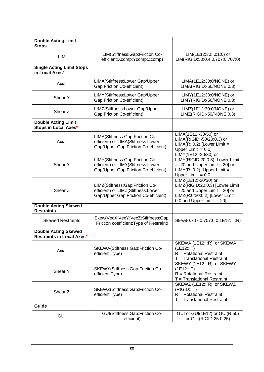| <b>Double Acting Limit</b><br><b>Stops</b>                      |                                                                                                               |                                                                                                                                                                     |
|-----------------------------------------------------------------|---------------------------------------------------------------------------------------------------------------|---------------------------------------------------------------------------------------------------------------------------------------------------------------------|
| LIM                                                             | LIM(Stiffness:Gap:Friction Co-<br>efficient: Xcomp: Ycomp: Zcomp)                                             | LIM(1E12:30::0:1:0) or<br>LIM(RIGID:50:0.4:0.707:0.707:0)                                                                                                           |
| <b>Single Acting Limit Stops</b><br>in Local Axes*              |                                                                                                               |                                                                                                                                                                     |
| Axial                                                           | LIMA(Stiffness:Lower Gap/Upper<br>Gap:Friction Co-efficient)                                                  | LIMA(1E12:30:0/NONE) or<br>LIMA(RIGID:-50/NONE:0.3)                                                                                                                 |
| Shear Y                                                         | LIMY(Stiffness:Lower Gap/Upper<br>Gap:Friction Co-efficient)                                                  | LIMY(1E12:30:0/NONE) or<br>LIMY(RIGID:-50/NONE:0.3)                                                                                                                 |
| Shear Z                                                         | LIMZ(Stiffness:Lower Gap/Upper<br>Gap:Friction Co-efficient)                                                  | LIMZ(1E12:30:0/NONE) or<br>LIMZ(RIGID:-50/NONE:0.3)                                                                                                                 |
| <b>Double Acting Limit</b><br>Stops in Local Axes*              |                                                                                                               |                                                                                                                                                                     |
| Axial                                                           | LIMA(Stiffness:Gap:Friction Co-<br>efficient) or LIMA(Stiffness:Lower<br>Gap/Upper Gap:Friction Co-efficient) | LIMA(1E12:-30/50) or<br>LIMA(RIGID:-50/20:0.3) or<br>$LIMA(R::0.2)$ [Lower Limit =<br>Upper Limit $= 0.0$ ]                                                         |
| Shear Y                                                         | LIMY(Stiffness:Gap:Friction Co-<br>efficient) or LIMY(Stiffness:Lower<br>Gap/Upper Gap:Friction Co-efficient) | LIMY(1E12:-20/30) or<br>LIMY(RIGID:20:0.3) [Lower Limit<br>$= -20$ and Upper Limit $= 20$ ] or<br>$LIMY(R::0.2)$ [Upper Limit =<br>Upper Limit $= 0.0$ ]            |
| Shear Z                                                         | LIMZ(Stiffness:Gap:Friction Co-<br>efficient) or LIMZ(Stiffness:Lower<br>Gap/Upper Gap:Friction Co-efficient) | LIMZ(1E12:-20/30) or<br>LIMZ(RIGID:20:0.3) [Lower Limit<br>$= -20$ and Upper Limit $= 20$ ] or<br>$LIMZ(R:0/20:0.2)$ [Lower Limit =<br>0.0 and Upper Limit $= 20$ ] |
| <b>Double Acting Skewed</b><br><b>Restraints</b>                |                                                                                                               |                                                                                                                                                                     |
| <b>Skewed Restraints</b>                                        | Skew(VecX:VecY:VecZ:Stiffness:Gap:<br>Friction coefficient: Type of Restraint)                                | Skew(0.707:0.707:0.0:1E12:::R)                                                                                                                                      |
| <b>Double Acting Skewed</b><br><b>Restraints in Local Axes*</b> |                                                                                                               |                                                                                                                                                                     |
| Axial                                                           | SKEWA(Stiffness:Gap:Friction Co-<br>efficient:Type)                                                           | SKEWA (1E12:::R) or SKEWA<br>(1E12::T)<br>$R = Rotational Restraint$<br>T = Translational Restraint                                                                 |
| Shear Y                                                         | SKEWY(Stiffness:Gap:Friction Co-<br>efficient:Type)                                                           | SKEWY (1E12:::R) or SKEWY<br>(1E12::T)<br>$R = Rotational Restraint$<br>T = Translational Restraint                                                                 |
| Shear Z                                                         | SKEWZ(Stiffness:Gap:Friction Co-<br>efficient:Type)                                                           | SKEWZ (1E12:::R) or SKEWZ<br>(RIGID::T)<br>$R = Rotational Restraint$<br>$T =$ Translational Restraint                                                              |
| Guide                                                           |                                                                                                               |                                                                                                                                                                     |
| <b>GUI</b>                                                      | GUI(Stiffness:Gap:Friction Co-<br>efficient)                                                                  | GUI or GUI(1E12) or GUI(R:50)<br>or GUI(RIGID:25:0.25)                                                                                                              |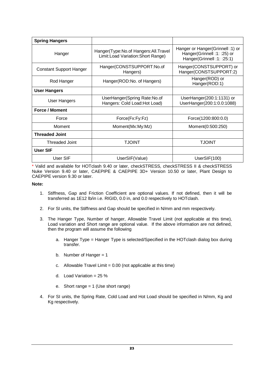| <b>Spring Hangers</b>          |                                                                             |                                                                                                |
|--------------------------------|-----------------------------------------------------------------------------|------------------------------------------------------------------------------------------------|
| Hanger                         | Hanger(Type:No.of Hangers:All.Travel<br>Limit: Load Variation: Short Range) | Hanger or Hanger (Grinnell: 1) or<br>Hanger(Grinnell: 1: :25) or<br>Hanger(Grinnell: 1: :25:1) |
| <b>Constant Support Hanger</b> | Hanger(CONSTSUPPORT:No.of<br>Hangers)                                       | Hanger(CONSTSUPPORT) or<br>Hanger(CONSTSUPPORT:2)                                              |
| Rod Hanger                     | Hanger(ROD:No. of Hangers)                                                  | Hanger(ROD) or<br>Hanger(ROD:1)                                                                |
| <b>User Hangers</b>            |                                                                             |                                                                                                |
| User Hangers                   | UserHanger(Spring Rate:No.of<br>Hangers: Cold Load: Hot Load)               | UserHanger(200:1:1131) or<br>UserHanger(200:1:0.0:1088)                                        |
| <b>Force / Moment</b>          |                                                                             |                                                                                                |
| Force                          | Force(Fx:Fy:Fz)                                                             | Force(1200:800:0.0)                                                                            |
| Moment                         | Moment(Mx:My:Mz)                                                            | Moment(0:500:250)                                                                              |
| <b>Threaded Joint</b>          |                                                                             |                                                                                                |
| Threaded Joint                 | <b>TJOINT</b>                                                               | <b>TJOINT</b>                                                                                  |
| <b>User SIF</b>                |                                                                             |                                                                                                |
| User SIF                       | UserSIF(Value)                                                              | UserSIF(100)                                                                                   |

\* Valid and available for HOTclash 9.40 or later, checkSTRESS, checkSTRESS II & checkSTRESS Nuke Version 9.40 or later, CAEPIPE & CAEPIPE 3D+ Version 10.50 or later, Plant Design to CAEPIPE version 9.30 or later.

#### **Note:**

- 1. Stiffness, Gap and Friction Coefficient are optional values. If not defined, then it will be transferred as 1E12 lb/in i.e. RIGID, 0.0 in, and 0.0 respectively to HOTclash.
- 2. For SI units, the Stiffness and Gap should be specified in N/mm and mm respectively.
- 3. The Hanger Type, Number of hanger, Allowable Travel Limit (not applicable at this time), Load variation and Short range are optional value. If the above information are not defined, then the program will assume the following
	- a. Hanger Type = Hanger Type is selected/Specified in the HOTclash dialog box during transfer.
	- b. Number of Hanger  $= 1$
	- c. Allowable Travel Limit =  $0.00$  (not applicable at this time)
	- d. Load Variation =  $25\%$
	- e. Short range = 1 (Use short range)
- 4. For SI units, the Spring Rate, Cold Load and Hot Load should be specified in N/mm, Kg and Kg respectively.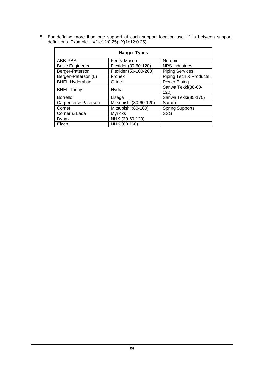| <b>Hanger Types</b>    |                        |                            |  |
|------------------------|------------------------|----------------------------|--|
| ABB-PBS                | Fee & Mason            | Nordon                     |  |
| <b>Basic Engineers</b> | Flexider (30-60-120)   | <b>NPS Industries</b>      |  |
| Berger-Paterson        | Flexider (50-100-200)  | <b>Piping Services</b>     |  |
| Bergen-Paterson (L)    | Fronek                 | Piping Tech & Products     |  |
| <b>BHEL Hyderabad</b>  | Grinell                | Power Piping               |  |
| <b>BHEL Trichy</b>     | Hydra                  | Sanwa Tekki(30-60-<br>120) |  |
| <b>Borrello</b>        | Lisega                 | Sanwa Tekki(85-170)        |  |
| Carpenter & Paterson   | Mitsubishi (30-60-120) | Sarathi                    |  |
| Comet                  | Mitsubishi (80-160)    | <b>Spring Supports</b>     |  |
| Corner & Lada          | <b>Myricks</b>         | <b>SSG</b>                 |  |
| Dynax                  | NHK (30-60-120)        |                            |  |
| Elcen                  | NHK (80-160)           |                            |  |

5. For defining more than one support at each support location use ";" in between support definitions. Example, +X(1e12:0.25);-X(1e12:0.25).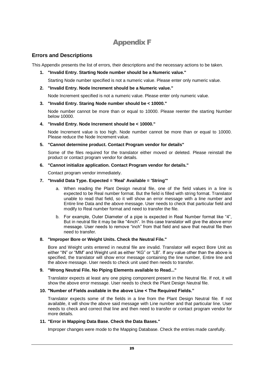## Appendix F

## <span id="page-28-1"></span><span id="page-28-0"></span>**Errors and Descriptions**

This Appendix presents the list of errors, their descriptions and the necessary actions to be taken.

**1. "Invalid Entry. Starting Node number should be a Numeric value."**

Starting Node number specified is not a numeric value. Please enter only numeric value.

**2. "Invalid Entry. Node Increment should be a Numeric value."**

Node Increment specified is not a numeric value. Please enter only numeric value.

**3. "Invalid Entry. Staring Node number should be < 10000."**

Node number cannot be more than or equal to 10000. Please reenter the starting Number below 10000.

#### **4. "Invalid Entry. Node Increment should be < 10000."**

Node Increment value is too high. Node number cannot be more than or equal to 10000. Please reduce the Node Increment value.

#### **5. "Cannot determine product. Contact Program vendor for details"**

Some of the files required for the translator either moved or deleted. Please reinstall the product or contact program vendor for details.

#### **6. "Cannot initialize application. Contact Program vendor for details."**

Contact program vendor immediately.

#### **7. "Invalid Data Type. Expected = 'Real' Available = 'String'"**

- a. When reading the Plant Design neutral file, one of the field values in a line is expected to be Real number format. But the field is filled with string format. Translator unable to read that field, so it will show an error message with a line number and Entire line Data and the above message. User needs to check that particular field and modify to Real number format and need to transfer the file.
- b. For example, Outer Diameter of a pipe is expected in Real Number format like "4", But in neutral file it may be like "4inch". In this case translator will give the above error message. User needs to remove "inch" from that field and save that neutral file then need to transfer.

#### **8. "Improper Bore or Weight Units. Check the Neutral File."**

Bore and Weight units entered in neutral file are invalid. Translator will expect Bore Unit as either "IN" or "MM" and Weight unit as either "KG" or "LB". If any value other than the above is specified, the translator will show error message containing the line number, Entire line and the above message. User needs to check unit used then needs to transfer.

#### **9. "Wrong Neutral File. No Piping Elements available to Read..."**

Translator expects at least any one piping component present in the Neutral file. If not, it will show the above error message. User needs to check the Plant Design Neutral file.

#### **10. "Number of Fields available in the above Line < The Required Fields."**

Translator expects some of the fields in a line from the Plant Design Neutral file. If not available, it will show the above said message with Line number and that particular line. User needs to check and correct that line and then need to transfer or contact program vendor for more details.

#### **11. "Error in Mapping Data Base. Check the Data Bases."**

Improper changes were mode to the Mapping Database. Check the entries made carefully.